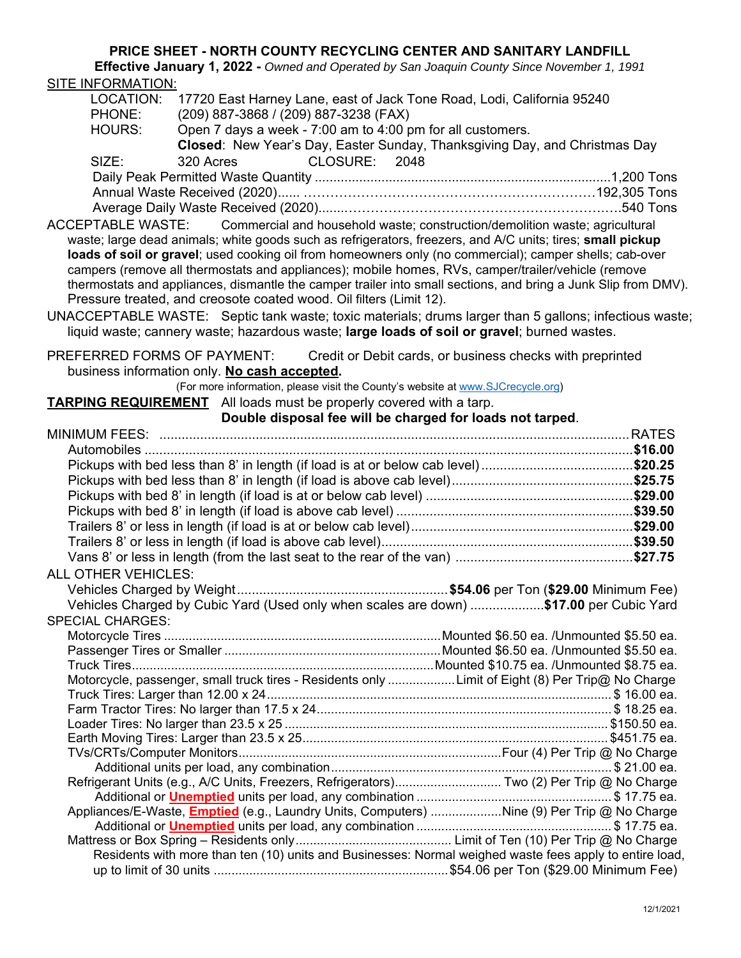## **PRICE SHEET - NORTH COUNTY RECYCLING CENTER AND SANITARY LANDFILL**

**Effective January 1, 2022 -** *Owned and Operated by San Joaquin County Since November 1, 1991* SITE INFORMATION:

| LOCATION:                  |                                                                     | 17720 East Harney Lane, east of Jack Tone Road, Lodi, California 95240                                                                                                                                                                                                                                                                                                                                                                                                                                                                                                                                                                 |  |
|----------------------------|---------------------------------------------------------------------|----------------------------------------------------------------------------------------------------------------------------------------------------------------------------------------------------------------------------------------------------------------------------------------------------------------------------------------------------------------------------------------------------------------------------------------------------------------------------------------------------------------------------------------------------------------------------------------------------------------------------------------|--|
| PHONE:                     | (209) 887-3868 / (209) 887-3238 (FAX)                               |                                                                                                                                                                                                                                                                                                                                                                                                                                                                                                                                                                                                                                        |  |
| HOURS:                     | Open 7 days a week - 7:00 am to 4:00 pm for all customers.          |                                                                                                                                                                                                                                                                                                                                                                                                                                                                                                                                                                                                                                        |  |
|                            |                                                                     | Closed: New Year's Day, Easter Sunday, Thanksgiving Day, and Christmas Day                                                                                                                                                                                                                                                                                                                                                                                                                                                                                                                                                             |  |
| SIZE:                      | 320 Acres                                                           | CLOSURE: 2048                                                                                                                                                                                                                                                                                                                                                                                                                                                                                                                                                                                                                          |  |
|                            |                                                                     |                                                                                                                                                                                                                                                                                                                                                                                                                                                                                                                                                                                                                                        |  |
|                            |                                                                     |                                                                                                                                                                                                                                                                                                                                                                                                                                                                                                                                                                                                                                        |  |
|                            |                                                                     |                                                                                                                                                                                                                                                                                                                                                                                                                                                                                                                                                                                                                                        |  |
|                            |                                                                     |                                                                                                                                                                                                                                                                                                                                                                                                                                                                                                                                                                                                                                        |  |
| ACCEPTABLE WASTE:          | Pressure treated, and creosote coated wood. Oil filters (Limit 12). | Commercial and household waste; construction/demolition waste; agricultural<br>waste; large dead animals; white goods such as refrigerators, freezers, and A/C units; tires; small pickup<br>loads of soil or gravel; used cooking oil from homeowners only (no commercial); camper shells; cab-over<br>campers (remove all thermostats and appliances); mobile homes, RVs, camper/trailer/vehicle (remove<br>thermostats and appliances, dismantle the camper trailer into small sections, and bring a Junk Slip from DMV).<br>UNACCEPTABLE WASTE: Septic tank waste; toxic materials; drums larger than 5 gallons; infectious waste; |  |
|                            |                                                                     | liquid waste; cannery waste; hazardous waste; large loads of soil or gravel; burned wastes.                                                                                                                                                                                                                                                                                                                                                                                                                                                                                                                                            |  |
|                            |                                                                     | PREFERRED FORMS OF PAYMENT: Credit or Debit cards, or business checks with preprinted                                                                                                                                                                                                                                                                                                                                                                                                                                                                                                                                                  |  |
|                            | business information only. No cash accepted.                        |                                                                                                                                                                                                                                                                                                                                                                                                                                                                                                                                                                                                                                        |  |
|                            |                                                                     | (For more information, please visit the County's website at www.SJCrecycle.org)                                                                                                                                                                                                                                                                                                                                                                                                                                                                                                                                                        |  |
|                            | TARPING REQUIREMENT All loads must be properly covered with a tarp. |                                                                                                                                                                                                                                                                                                                                                                                                                                                                                                                                                                                                                                        |  |
|                            |                                                                     | Double disposal fee will be charged for loads not tarped.                                                                                                                                                                                                                                                                                                                                                                                                                                                                                                                                                                              |  |
|                            |                                                                     |                                                                                                                                                                                                                                                                                                                                                                                                                                                                                                                                                                                                                                        |  |
|                            |                                                                     |                                                                                                                                                                                                                                                                                                                                                                                                                                                                                                                                                                                                                                        |  |
|                            |                                                                     |                                                                                                                                                                                                                                                                                                                                                                                                                                                                                                                                                                                                                                        |  |
|                            |                                                                     |                                                                                                                                                                                                                                                                                                                                                                                                                                                                                                                                                                                                                                        |  |
|                            |                                                                     |                                                                                                                                                                                                                                                                                                                                                                                                                                                                                                                                                                                                                                        |  |
|                            |                                                                     |                                                                                                                                                                                                                                                                                                                                                                                                                                                                                                                                                                                                                                        |  |
|                            |                                                                     |                                                                                                                                                                                                                                                                                                                                                                                                                                                                                                                                                                                                                                        |  |
|                            |                                                                     |                                                                                                                                                                                                                                                                                                                                                                                                                                                                                                                                                                                                                                        |  |
|                            |                                                                     |                                                                                                                                                                                                                                                                                                                                                                                                                                                                                                                                                                                                                                        |  |
| <b>ALL OTHER VEHICLES:</b> |                                                                     |                                                                                                                                                                                                                                                                                                                                                                                                                                                                                                                                                                                                                                        |  |
|                            |                                                                     |                                                                                                                                                                                                                                                                                                                                                                                                                                                                                                                                                                                                                                        |  |
|                            |                                                                     |                                                                                                                                                                                                                                                                                                                                                                                                                                                                                                                                                                                                                                        |  |
|                            |                                                                     | Vehicles Charged by Cubic Yard (Used only when scales are down) \$17.00 per Cubic Yard                                                                                                                                                                                                                                                                                                                                                                                                                                                                                                                                                 |  |
| <b>SPECIAL CHARGES:</b>    |                                                                     |                                                                                                                                                                                                                                                                                                                                                                                                                                                                                                                                                                                                                                        |  |
|                            |                                                                     |                                                                                                                                                                                                                                                                                                                                                                                                                                                                                                                                                                                                                                        |  |
|                            |                                                                     |                                                                                                                                                                                                                                                                                                                                                                                                                                                                                                                                                                                                                                        |  |
|                            |                                                                     |                                                                                                                                                                                                                                                                                                                                                                                                                                                                                                                                                                                                                                        |  |
|                            |                                                                     | Motorcycle, passenger, small truck tires - Residents only Limit of Eight (8) Per Trip@ No Charge                                                                                                                                                                                                                                                                                                                                                                                                                                                                                                                                       |  |
|                            |                                                                     |                                                                                                                                                                                                                                                                                                                                                                                                                                                                                                                                                                                                                                        |  |
|                            |                                                                     |                                                                                                                                                                                                                                                                                                                                                                                                                                                                                                                                                                                                                                        |  |
|                            |                                                                     |                                                                                                                                                                                                                                                                                                                                                                                                                                                                                                                                                                                                                                        |  |
|                            |                                                                     |                                                                                                                                                                                                                                                                                                                                                                                                                                                                                                                                                                                                                                        |  |
|                            |                                                                     |                                                                                                                                                                                                                                                                                                                                                                                                                                                                                                                                                                                                                                        |  |
|                            |                                                                     | Refrigerant Units (e.g., A/C Units, Freezers, Refrigerators) Two (2) Per Trip @ No Charge                                                                                                                                                                                                                                                                                                                                                                                                                                                                                                                                              |  |
|                            |                                                                     |                                                                                                                                                                                                                                                                                                                                                                                                                                                                                                                                                                                                                                        |  |
|                            |                                                                     | Appliances/E-Waste, <b>Emptied</b> (e.g., Laundry Units, Computers) Nine (9) Per Trip @ No Charge                                                                                                                                                                                                                                                                                                                                                                                                                                                                                                                                      |  |
|                            |                                                                     |                                                                                                                                                                                                                                                                                                                                                                                                                                                                                                                                                                                                                                        |  |
|                            |                                                                     |                                                                                                                                                                                                                                                                                                                                                                                                                                                                                                                                                                                                                                        |  |
|                            |                                                                     | Residents with more than ten (10) units and Businesses: Normal weighed waste fees apply to entire load,                                                                                                                                                                                                                                                                                                                                                                                                                                                                                                                                |  |
|                            |                                                                     |                                                                                                                                                                                                                                                                                                                                                                                                                                                                                                                                                                                                                                        |  |
|                            |                                                                     |                                                                                                                                                                                                                                                                                                                                                                                                                                                                                                                                                                                                                                        |  |